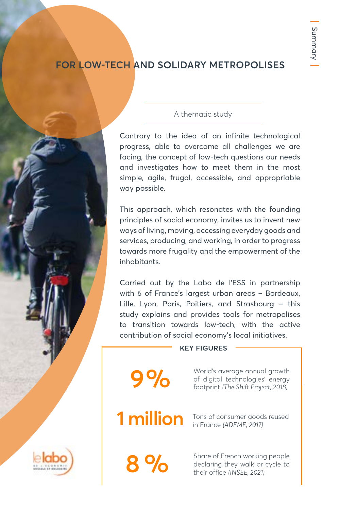## **FOR LOW-TECH AND SOLIDARY METROPOLISES**

## A thematic study

Contrary to the idea of an infinite technological progress, able to overcome all challenges we are facing, the concept of low-tech questions our needs and investigates how to meet them in the most simple, agile, frugal, accessible, and appropriable way possible.

This approach, which resonates with the founding principles of social economy, invites us to invent new ways of living, moving, accessing everyday goods and services, producing, and working, in order to progress towards more frugality and the empowerment of the inhabitants.

Carried out by the Labo de l'ESS in partnership with 6 of France's largest urban areas – Bordeaux, Lille, Lyon, Paris, Poitiers, and Strasbourg – this study explains and provides tools for metropolises to transition towards low-tech, with the active contribution of social economy's local initiatives.

### **KEY FIGURES**

World's average annual growth of digital technologies' energy footprint *(The Shift Project, 2018)*

**9 %**

Tons of consumer goods reused **1 million** Tons of consumer good

**8 %** Share of French working people<br>declaring they walk or cycle to<br>their office (INSEE, 2021) declaring they walk or cycle to their office *(INSEE, 2021)*

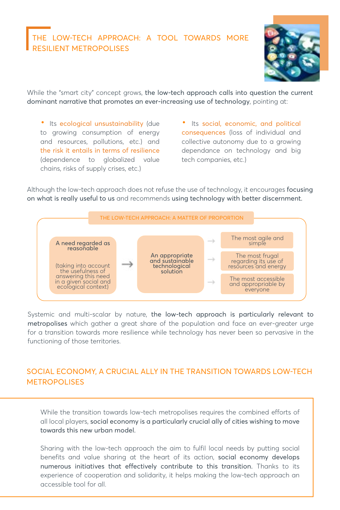## THE LOW-TECH APPROACH: A TOOL TOWARDS MORE RESILIENT METROPOLISES



While the "smart city" concept grows, the low-tech approach calls into question the current dominant narrative that promotes an ever-increasing use of technology, pointing at:

• Its ecological unsustainability (due to growing consumption of energy and resources, pollutions, etc.) and the risk it entails in terms of resilience (dependence to globalized value chains, risks of supply crises, etc.)

• Its social, economic, and political consequences (loss of individual and collective autonomy due to a growing dependance on technology and big tech companies, etc.)

Although the low-tech approach does not refuse the use of technology, it encourages focusing on what is really useful to us and recommends using technology with better discernment.



Systemic and multi-scalar by nature, the low-tech approach is particularly relevant to metropolises which gather a great share of the population and face an ever-greater urge for a transition towards more resilience while technology has never been so pervasive in the functioning of those territories.

## SOCIAL ECONOMY, A CRUCIAL ALLY IN THE TRANSITION TOWARDS LOW-TECH **METROPOLISES**

While the transition towards low-tech metropolises requires the combined efforts of all local players, social economy is a particularly crucial ally of cities wishing to move towards this new urban model.

Sharing with the low-tech approach the aim to fulfil local needs by putting social benefits and value sharing at the heart of its action, social economy develops numerous initiatives that effectively contribute to this transition. Thanks to its experience of cooperation and solidarity, it helps making the low-tech approach an accessible tool for all.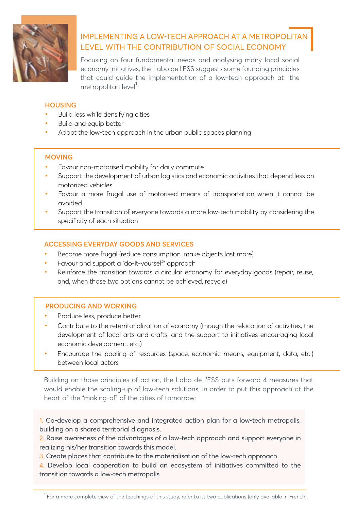

## IMPLEMENTING A LOW-TECH APPROACH AT A METROPOLITAN LEVEL WITH THE CONTRIBUTION OF SOCIAL ECONOMY

Focusing on four fundamental needs and analysing many local social economy initiatives, the Labo de l'ESS suggests some founding principles that could guide the implementation of a low-tech approach at the metropolitan level<sup>1</sup>:

### **HOUSING**

- Build less while densifying cities
- Build and equip better
- Adopt the low-tech approach in the urban public spaces planning

## **MOVING**

- Favour non-motorised mobility for daily commute
- Support the development of urban logistics and economic activities that depend less on motorized vehicles
- Favour a more frugal use of motorised means of transportation when it cannot be avoided
- Support the transition of everyone towards a more low-tech mobility by considering the specificity of each situation

## **ACCESSING EVERYDAY GOODS AND SERVICES**

- Become more frugal (reduce consumption, make objects last more)
- Favour and support a "do-it-yourself" approach
- Reinforce the transition towards a circular economy for everyday goods (repair, reuse, and, when those two options cannot be achieved, recycle)

### **PRODUCING AND WORKING**

- Produce less, produce better
- Contribute to the reterritorialization of economy (though the relocation of activities, the development of local arts and crafts, and the support to initiatives encouraging local economic development, etc.)
- Encourage the pooling of resources (space, economic means, equipment, data, etc.) between local actors

Building on those principles of action, the Labo de l'ESS puts forward 4 measures that would enable the scaling-up of low-tech solutions, in order to put this approach at the heart of the "making-of" of the cities of tomorrow:

1. Co-develop a comprehensive and integrated action plan for a low-tech metropolis, building on a shared territorial diagnosis.

2. Raise awareness of the advantages of a low-tech approach and support everyone in realizing his/her transition towards this model.

3. Create places that contribute to the materialisation of the low-tech approach.

4. Develop local cooperation to build an ecosystem of initiatives committed to the transition towards a low-tech metropolis.